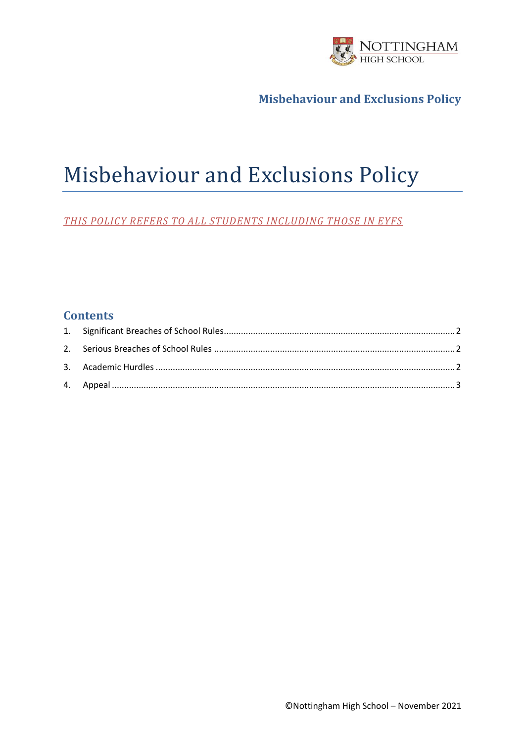

**Misbehaviour and Exclusions Policy**

# Misbehaviour and Exclusions Policy

*THIS POLICY REFERS TO ALL STUDENTS INCLUDING THOSE IN EYFS*

#### **Contents**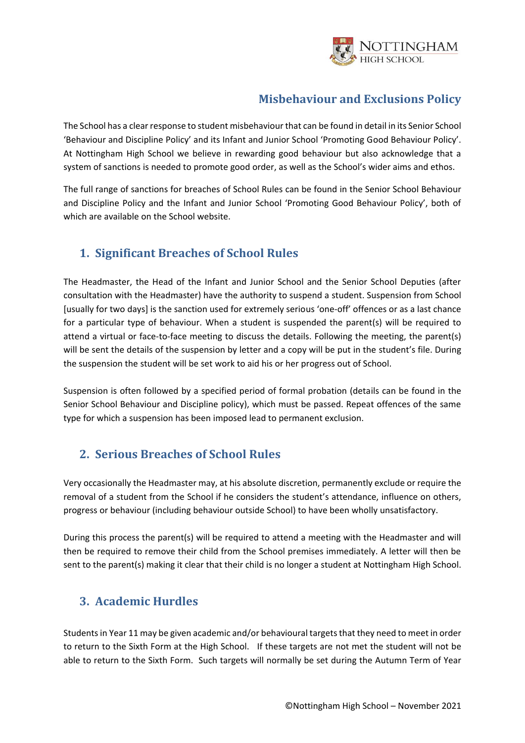

#### **Misbehaviour and Exclusions Policy**

The School has a clear response to student misbehaviour that can be found in detail in its Senior School 'Behaviour and Discipline Policy' and its Infant and Junior School 'Promoting Good Behaviour Policy'. At Nottingham High School we believe in rewarding good behaviour but also acknowledge that a system of sanctions is needed to promote good order, as well as the School's wider aims and ethos.

The full range of sanctions for breaches of School Rules can be found in the Senior School Behaviour and Discipline Policy and the Infant and Junior School 'Promoting Good Behaviour Policy', both of which are available on the School website.

### <span id="page-1-0"></span>**1. Significant Breaches of School Rules**

The Headmaster, the Head of the Infant and Junior School and the Senior School Deputies (after consultation with the Headmaster) have the authority to suspend a student. Suspension from School [usually for two days] is the sanction used for extremely serious 'one-off' offences or as a last chance for a particular type of behaviour. When a student is suspended the parent(s) will be required to attend a virtual or face-to-face meeting to discuss the details. Following the meeting, the parent(s) will be sent the details of the suspension by letter and a copy will be put in the student's file. During the suspension the student will be set work to aid his or her progress out of School.

Suspension is often followed by a specified period of formal probation (details can be found in the Senior School Behaviour and Discipline policy), which must be passed. Repeat offences of the same type for which a suspension has been imposed lead to permanent exclusion.

### <span id="page-1-1"></span>**2. Serious Breaches of School Rules**

Very occasionally the Headmaster may, at his absolute discretion, permanently exclude or require the removal of a student from the School if he considers the student's attendance, influence on others, progress or behaviour (including behaviour outside School) to have been wholly unsatisfactory.

During this process the parent(s) will be required to attend a meeting with the Headmaster and will then be required to remove their child from the School premises immediately. A letter will then be sent to the parent(s) making it clear that their child is no longer a student at Nottingham High School.

### <span id="page-1-2"></span>**3. Academic Hurdles**

Students in Year 11 may be given academic and/or behavioural targets that they need to meet in order to return to the Sixth Form at the High School. If these targets are not met the student will not be able to return to the Sixth Form. Such targets will normally be set during the Autumn Term of Year